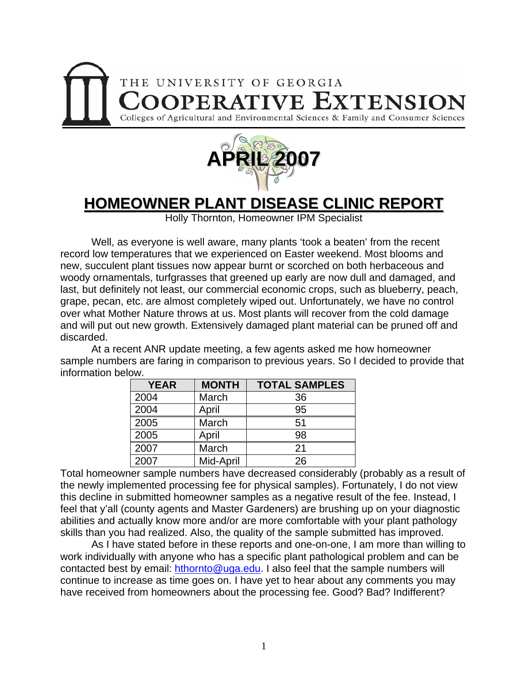



## **HOMEOWNER PLANT DISEASE CLINIC REPORT**

Holly Thornton, Homeowner IPM Specialist

 Well, as everyone is well aware, many plants 'took a beaten' from the recent record low temperatures that we experienced on Easter weekend. Most blooms and new, succulent plant tissues now appear burnt or scorched on both herbaceous and woody ornamentals, turfgrasses that greened up early are now dull and damaged, and last, but definitely not least, our commercial economic crops, such as blueberry, peach, grape, pecan, etc. are almost completely wiped out. Unfortunately, we have no control over what Mother Nature throws at us. Most plants will recover from the cold damage and will put out new growth. Extensively damaged plant material can be pruned off and discarded.

 At a recent ANR update meeting, a few agents asked me how homeowner sample numbers are faring in comparison to previous years. So I decided to provide that information below.

| <b>YEAR</b> | <b>MONTH</b> | <b>TOTAL SAMPLES</b> |
|-------------|--------------|----------------------|
| 2004        | March        | 36                   |
| 2004        | April        | 95                   |
| 2005        | March        | 51                   |
| 2005        | April        | 98                   |
| 2007        | March        | 21                   |
| 2007        | Mid-April    | 26                   |

Total homeowner sample numbers have decreased considerably (probably as a result of the newly implemented processing fee for physical samples). Fortunately, I do not view this decline in submitted homeowner samples as a negative result of the fee. Instead, I feel that y'all (county agents and Master Gardeners) are brushing up on your diagnostic abilities and actually know more and/or are more comfortable with your plant pathology skills than you had realized. Also, the quality of the sample submitted has improved.

As I have stated before in these reports and one-on-one, I am more than willing to work individually with anyone who has a specific plant pathological problem and can be contacted best by email: [hthornto@uga.edu](mailto:hthornto@uga.edu). I also feel that the sample numbers will continue to increase as time goes on. I have yet to hear about any comments you may have received from homeowners about the processing fee. Good? Bad? Indifferent?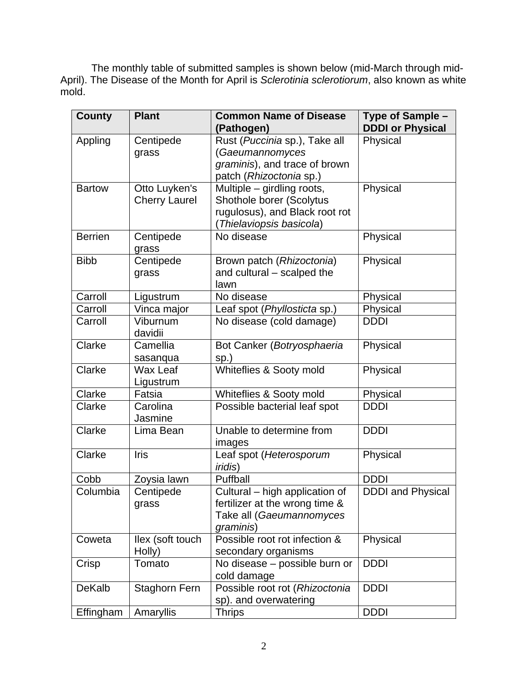The monthly table of submitted samples is shown below (mid-March through mid-April). The Disease of the Month for April is *Sclerotinia sclerotiorum*, also known as white mold.

| County         | <b>Plant</b>         | <b>Common Name of Disease</b>      | Type of Sample -         |
|----------------|----------------------|------------------------------------|--------------------------|
|                |                      | (Pathogen)                         | <b>DDDI or Physical</b>  |
| Appling        | Centipede            | Rust (Puccinia sp.), Take all      | Physical                 |
|                | grass                | (Gaeumannomyces                    |                          |
|                |                      | graminis), and trace of brown      |                          |
|                |                      | patch (Rhizoctonia sp.)            |                          |
| <b>Bartow</b>  | Otto Luyken's        | Multiple - girdling roots,         | Physical                 |
|                | <b>Cherry Laurel</b> | Shothole borer (Scolytus           |                          |
|                |                      | rugulosus), and Black root rot     |                          |
|                |                      | Thielaviopsis basicola)            |                          |
| <b>Berrien</b> | Centipede            | No disease                         | Physical                 |
| <b>Bibb</b>    | grass                |                                    |                          |
|                | Centipede            | Brown patch (Rhizoctonia)          | Physical                 |
|                | grass                | and cultural – scalped the<br>lawn |                          |
| Carroll        | Ligustrum            | No disease                         | Physical                 |
| Carroll        | Vinca major          | Leaf spot (Phyllosticta sp.)       | Physical                 |
| Carroll        | Viburnum             | No disease (cold damage)           | <b>DDDI</b>              |
|                | davidii              |                                    |                          |
| Clarke         | Camellia             | Bot Canker (Botryosphaeria         | Physical                 |
|                |                      | $sp.$ )                            |                          |
| Clarke         | sasanqua<br>Wax Leaf | Whiteflies & Sooty mold            | Physical                 |
|                | Ligustrum            |                                    |                          |
| Clarke         | Fatsia               | Whiteflies & Sooty mold            | Physical                 |
| Clarke         | Carolina             | Possible bacterial leaf spot       | <b>DDDI</b>              |
|                | Jasmine              |                                    |                          |
| Clarke         | Lima Bean            | Unable to determine from           | <b>DDDI</b>              |
|                |                      | images                             |                          |
| Clarke         | Iris                 | Leaf spot (Heterosporum            | Physical                 |
|                |                      | <i>iridis</i> )                    |                          |
| Cobb           | Zoysia lawn          | Puffball                           | <b>DDDI</b>              |
| Columbia       | Centipede            | Cultural - high application of     | <b>DDDI</b> and Physical |
|                | grass                | fertilizer at the wrong time &     |                          |
|                |                      | Take all (Gaeumannomyces           |                          |
|                |                      | graminis)                          |                          |
| Coweta         | llex (soft touch     | Possible root rot infection &      | Physical                 |
|                | Holly)               | secondary organisms                |                          |
| Crisp          | Tomato               | No disease - possible burn or      | <b>DDDI</b>              |
|                |                      | cold damage                        |                          |
| DeKalb         | <b>Staghorn Fern</b> | Possible root rot (Rhizoctonia     | <b>DDDI</b>              |
|                |                      | sp). and overwatering              |                          |
| Effingham      | Amaryllis            | <b>Thrips</b>                      | <b>DDDI</b>              |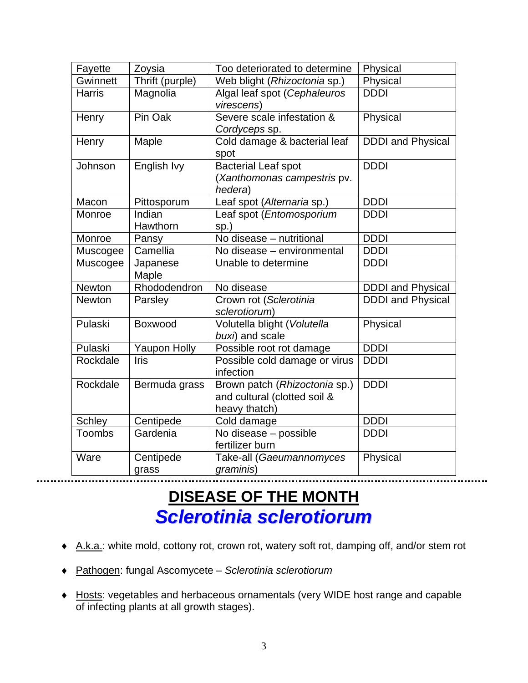| Fayette       | Zoysia              | Too deteriorated to determine                                                  | Physical                 |
|---------------|---------------------|--------------------------------------------------------------------------------|--------------------------|
| Gwinnett      | Thrift (purple)     | Web blight (Rhizoctonia sp.)                                                   | Physical                 |
| <b>Harris</b> | Magnolia            | Algal leaf spot (Cephaleuros<br>virescens)                                     | <b>DDDI</b>              |
| Henry         | Pin Oak             | Severe scale infestation &<br>Cordyceps sp.                                    | Physical                 |
| Henry         | Maple               | Cold damage & bacterial leaf<br>spot                                           | <b>DDDI</b> and Physical |
| Johnson       | English Ivy         | <b>Bacterial Leaf spot</b><br>(Xanthomonas campestris pv.<br>hedera)           | <b>DDDI</b>              |
| Macon         | Pittosporum         | Leaf spot (Alternaria sp.)                                                     | <b>DDDI</b>              |
| Monroe        | Indian<br>Hawthorn  | Leaf spot (Entomosporium<br>$sp.$ )                                            | <b>DDDI</b>              |
| Monroe        | Pansy               | No disease - nutritional                                                       | <b>DDDI</b>              |
| Muscogee      | Camellia            | No disease - environmental                                                     | <b>DDDI</b>              |
| Muscogee      | Japanese<br>Maple   | Unable to determine                                                            | <b>DDDI</b>              |
| <b>Newton</b> | Rhododendron        | No disease                                                                     | <b>DDDI</b> and Physical |
| <b>Newton</b> | Parsley             | Crown rot (Sclerotinia<br>sclerotiorum)                                        | <b>DDDI</b> and Physical |
| Pulaski       | Boxwood             | Volutella blight (Volutella<br>buxi) and scale                                 | Physical                 |
| Pulaski       | <b>Yaupon Holly</b> | Possible root rot damage                                                       | <b>DDDI</b>              |
| Rockdale      | Iris                | Possible cold damage or virus<br>infection                                     | <b>DDDI</b>              |
| Rockdale      | Bermuda grass       | Brown patch (Rhizoctonia sp.)<br>and cultural (clotted soil &<br>heavy thatch) | <b>DDDI</b>              |
| <b>Schley</b> | Centipede           | Cold damage                                                                    | <b>DDDI</b>              |
| Toombs        | Gardenia            | No disease - possible<br>fertilizer burn                                       | <b>DDDI</b>              |
| Ware          | Centipede<br>grass  | Take-all (Gaeumannomyces<br>graminis)                                          | Physical                 |

## **DISEASE OF THE MONTH** *Sclerotinia sclerotiorum*

- ♦ A.k.a.: white mold, cottony rot, crown rot, watery soft rot, damping off, and/or stem rot
- ♦ Pathogen: fungal Ascomycete *Sclerotinia sclerotiorum*
- ♦ Hosts: vegetables and herbaceous ornamentals (very WIDE host range and capable of infecting plants at all growth stages).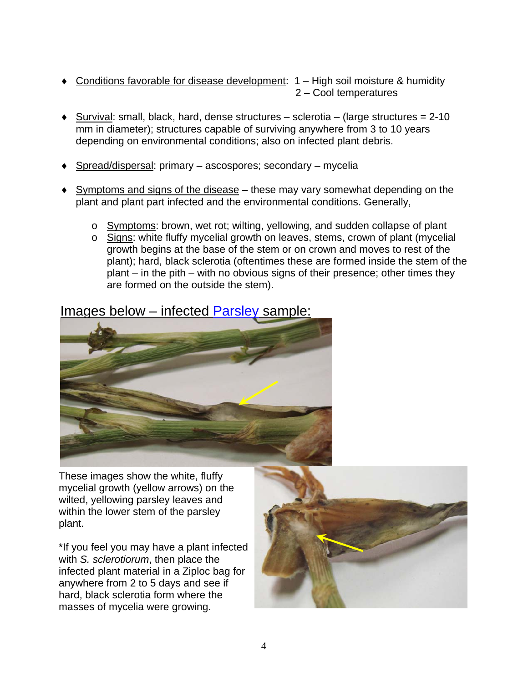- Conditions favorable for disease development:  $1 -$  High soil moisture & humidity 2 – Cool temperatures
- $\blacklozenge$  Survival: small, black, hard, dense structures sclerotia (large structures = 2-10) mm in diameter); structures capable of surviving anywhere from 3 to 10 years depending on environmental conditions; also on infected plant debris.
- $\triangle$  Spread/dispersal: primary ascospores; secondary mycelia
- ♦ Symptoms and signs of the disease these may vary somewhat depending on the plant and plant part infected and the environmental conditions. Generally,
	- o Symptoms: brown, wet rot; wilting, yellowing, and sudden collapse of plant
	- o Signs: white fluffy mycelial growth on leaves, stems, crown of plant (mycelial growth begins at the base of the stem or on crown and moves to rest of the plant); hard, black sclerotia (oftentimes these are formed inside the stem of the plant – in the pith – with no obvious signs of their presence; other times they are formed on the outside the stem).

## Images below – infected Parsley sample:



These images show the white, fluffy mycelial growth (yellow arrows) on the wilted, yellowing parsley leaves and within the lower stem of the parsley plant.

\*If you feel you may have a plant infected with *S. sclerotiorum*, then place the infected plant material in a Ziploc bag for anywhere from 2 to 5 days and see if hard, black sclerotia form where the masses of mycelia were growing.

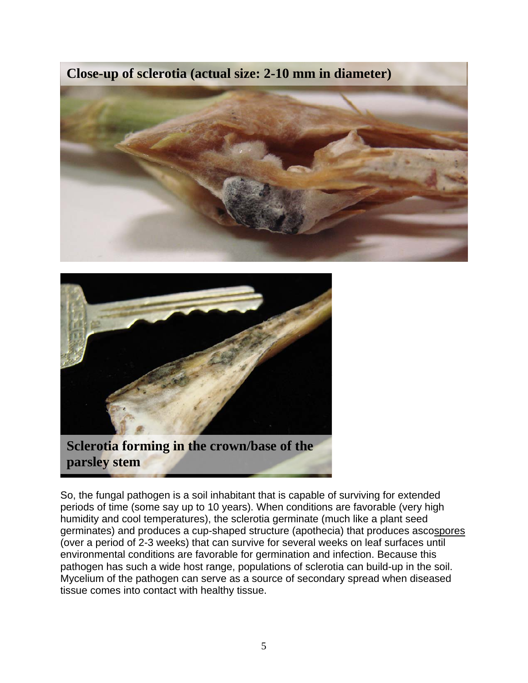**Close-up of sclerotia (actual size: 2-10 mm in diameter)** 





So, the fungal pathogen is a soil inhabitant that is capable of surviving for extended periods of time (some say up to 10 years). When conditions are favorable (very high humidity and cool temperatures), the sclerotia germinate (much like a plant seed germinates) and produces a cup-shaped structure (apothecia) that produces ascospores (over a period of 2-3 weeks) that can survive for several weeks on leaf surfaces until environmental conditions are favorable for germination and infection. Because this pathogen has such a wide host range, populations of sclerotia can build-up in the soil. Mycelium of the pathogen can serve as a source of secondary spread when diseased tissue comes into contact with healthy tissue.